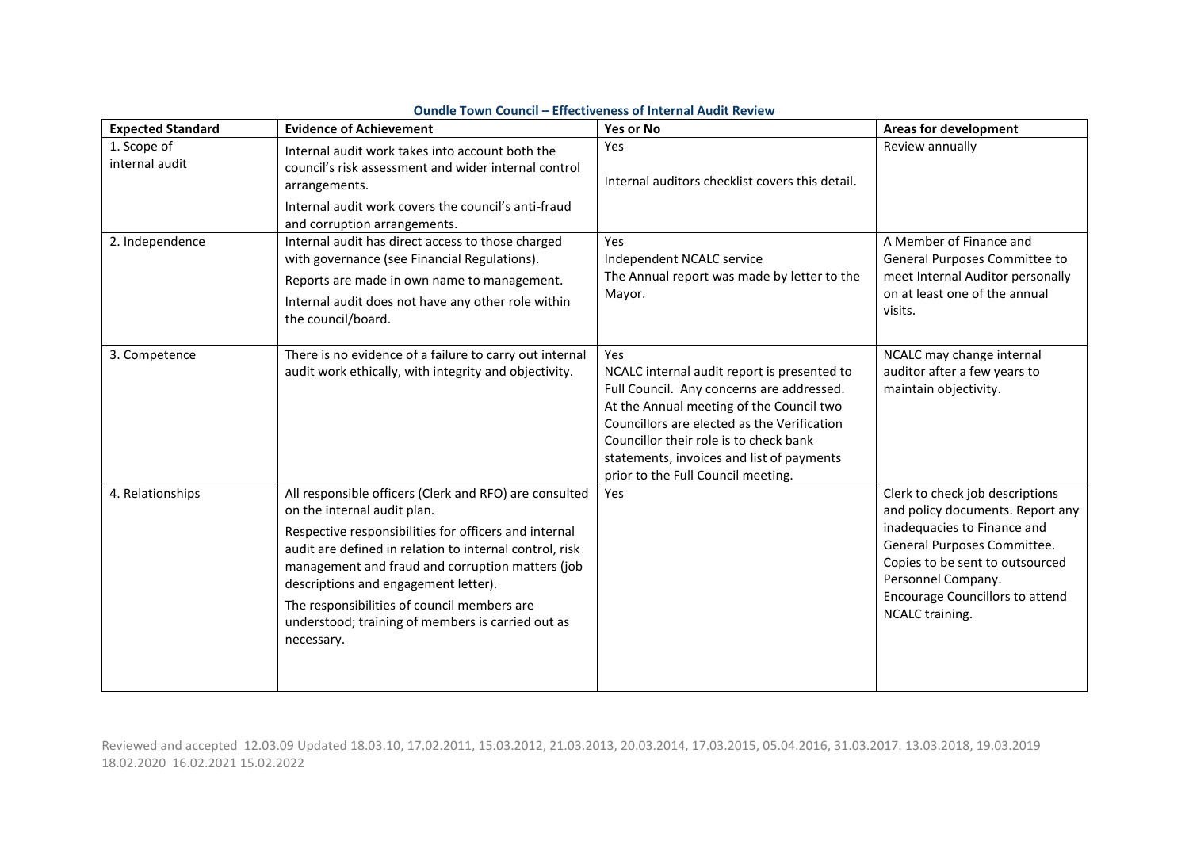| <b>Expected Standard</b>      | <b>Evidence of Achievement</b>                                                                                                                                                                                                                                                                                                                                                                                          | Yes or No                                                                                                                                                                                                                                                                                                               | <b>Areas for development</b>                                                                                                                                                                                                                            |
|-------------------------------|-------------------------------------------------------------------------------------------------------------------------------------------------------------------------------------------------------------------------------------------------------------------------------------------------------------------------------------------------------------------------------------------------------------------------|-------------------------------------------------------------------------------------------------------------------------------------------------------------------------------------------------------------------------------------------------------------------------------------------------------------------------|---------------------------------------------------------------------------------------------------------------------------------------------------------------------------------------------------------------------------------------------------------|
| 1. Scope of<br>internal audit | Internal audit work takes into account both the<br>council's risk assessment and wider internal control<br>arrangements.<br>Internal audit work covers the council's anti-fraud<br>and corruption arrangements.                                                                                                                                                                                                         | Yes<br>Internal auditors checklist covers this detail.                                                                                                                                                                                                                                                                  | Review annually                                                                                                                                                                                                                                         |
| 2. Independence               | Internal audit has direct access to those charged<br>with governance (see Financial Regulations).<br>Reports are made in own name to management.<br>Internal audit does not have any other role within<br>the council/board.                                                                                                                                                                                            | Yes<br>Independent NCALC service<br>The Annual report was made by letter to the<br>Mayor.                                                                                                                                                                                                                               | A Member of Finance and<br>General Purposes Committee to<br>meet Internal Auditor personally<br>on at least one of the annual<br>visits.                                                                                                                |
| 3. Competence                 | There is no evidence of a failure to carry out internal<br>audit work ethically, with integrity and objectivity.                                                                                                                                                                                                                                                                                                        | Yes<br>NCALC internal audit report is presented to<br>Full Council. Any concerns are addressed.<br>At the Annual meeting of the Council two<br>Councillors are elected as the Verification<br>Councillor their role is to check bank<br>statements, invoices and list of payments<br>prior to the Full Council meeting. | NCALC may change internal<br>auditor after a few years to<br>maintain objectivity.                                                                                                                                                                      |
| 4. Relationships              | All responsible officers (Clerk and RFO) are consulted<br>on the internal audit plan.<br>Respective responsibilities for officers and internal<br>audit are defined in relation to internal control, risk<br>management and fraud and corruption matters (job<br>descriptions and engagement letter).<br>The responsibilities of council members are<br>understood; training of members is carried out as<br>necessary. | Yes                                                                                                                                                                                                                                                                                                                     | Clerk to check job descriptions<br>and policy documents. Report any<br>inadequacies to Finance and<br>General Purposes Committee.<br>Copies to be sent to outsourced<br>Personnel Company.<br><b>Encourage Councillors to attend</b><br>NCALC training. |

## **Oundle Town Council – Effectiveness of Internal Audit Review**

Reviewed and accepted 12.03.09 Updated 18.03.10, 17.02.2011, 15.03.2012, 21.03.2013, 20.03.2014, 17.03.2015, 05.04.2016, 31.03.2017. 13.03.2018, 19.03.2019 18.02.2020 16.02.2021 15.02.2022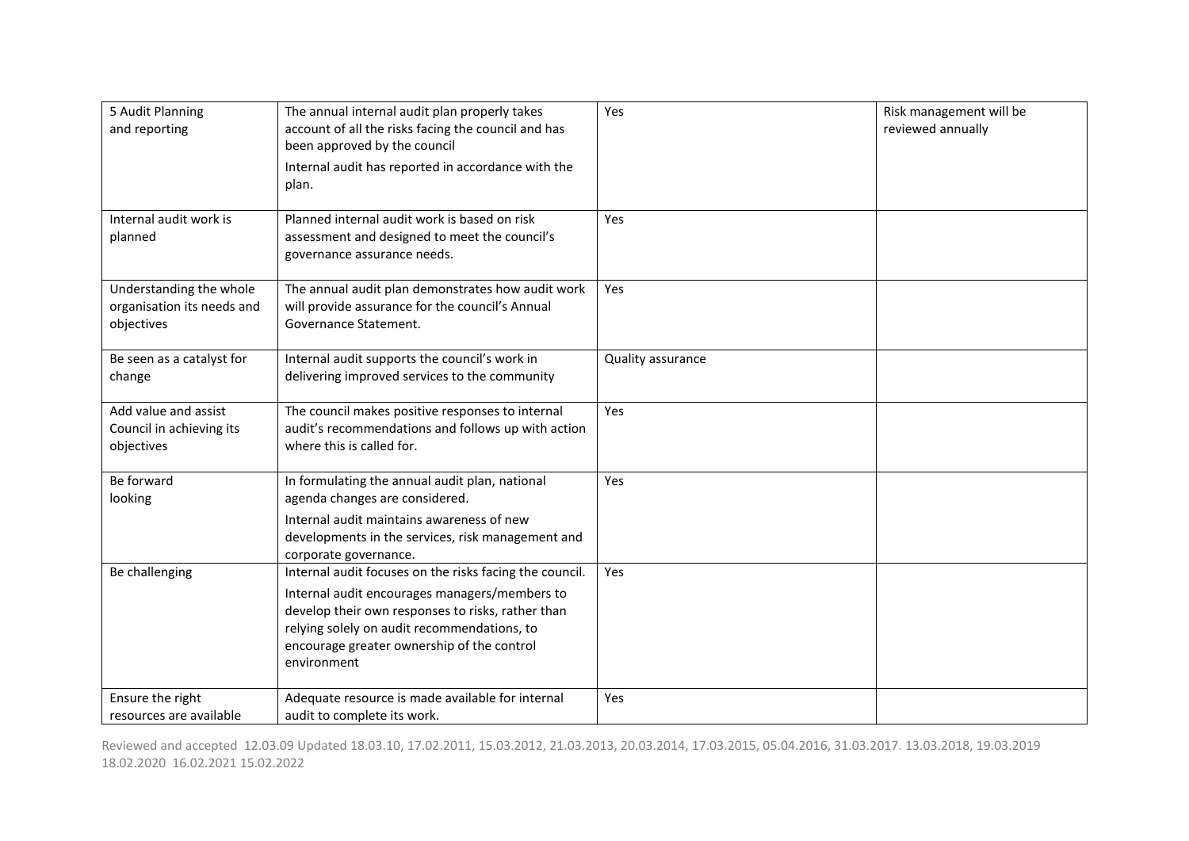| 5 Audit Planning<br>and reporting                                   | The annual internal audit plan properly takes<br>account of all the risks facing the council and has<br>been approved by the council<br>Internal audit has reported in accordance with the<br>plan.                                                                       | Yes               | Risk management will be<br>reviewed annually |
|---------------------------------------------------------------------|---------------------------------------------------------------------------------------------------------------------------------------------------------------------------------------------------------------------------------------------------------------------------|-------------------|----------------------------------------------|
| Internal audit work is<br>planned                                   | Planned internal audit work is based on risk<br>assessment and designed to meet the council's<br>governance assurance needs.                                                                                                                                              | Yes               |                                              |
| Understanding the whole<br>organisation its needs and<br>objectives | The annual audit plan demonstrates how audit work<br>will provide assurance for the council's Annual<br>Governance Statement.                                                                                                                                             | Yes               |                                              |
| Be seen as a catalyst for<br>change                                 | Internal audit supports the council's work in<br>delivering improved services to the community                                                                                                                                                                            | Quality assurance |                                              |
| Add value and assist<br>Council in achieving its<br>objectives      | The council makes positive responses to internal<br>audit's recommendations and follows up with action<br>where this is called for.                                                                                                                                       | Yes               |                                              |
| Be forward<br>looking                                               | In formulating the annual audit plan, national<br>agenda changes are considered.<br>Internal audit maintains awareness of new<br>developments in the services, risk management and<br>corporate governance.                                                               | Yes               |                                              |
| Be challenging                                                      | Internal audit focuses on the risks facing the council.<br>Internal audit encourages managers/members to<br>develop their own responses to risks, rather than<br>relying solely on audit recommendations, to<br>encourage greater ownership of the control<br>environment | Yes               |                                              |
| Ensure the right<br>resources are available                         | Adequate resource is made available for internal<br>audit to complete its work.                                                                                                                                                                                           | Yes               |                                              |

Reviewed and accepted 12.03.09 Updated 18.03.10, 17.02.2011, 15.03.2012, 21.03.2013, 20.03.2014, 17.03.2015, 05.04.2016, 31.03.2017. 13.03.2018, 19.03.2019 18.02.2020 16.02.2021 15.02.2022